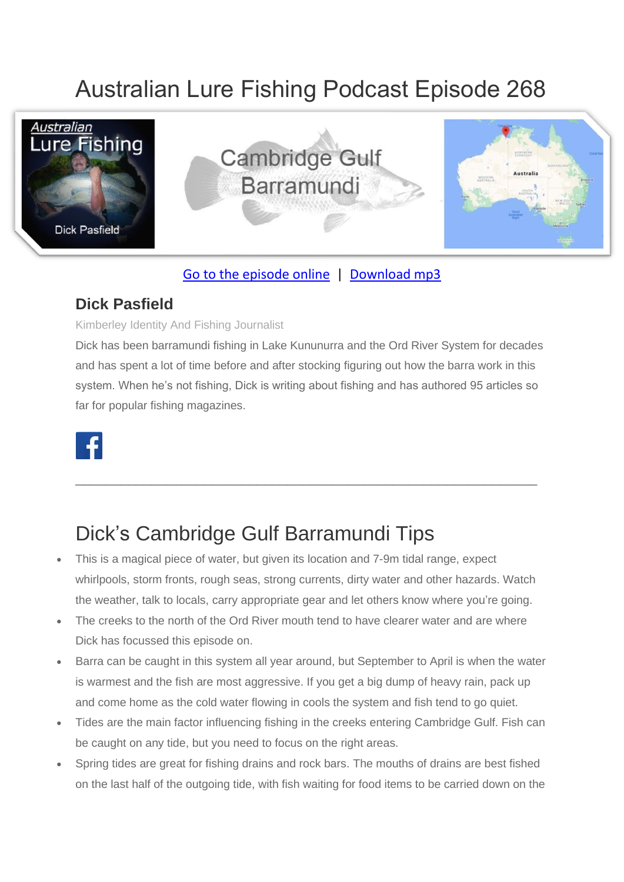# Australian Lure Fishing Podcast Episode 268



**Cambridge Gulf Barramundi** 



### [Go to the episode online](https://doclures.com/cambridge-gulf-barramundi-dick-pasfield/) | [Download mp3](https://traffic.libsyn.com/secure/doclures/cambridge-gulf-barramundi-dick-pasfield.mp3)

### **Dick Pasfield**

#### Kimberley Identity And Fishing Journalist

Dick has been barramundi fishing in Lake Kununurra and the Ord River System for decades and has spent a lot of time before and after stocking figuring out how the barra work in this system. When he's not fishing, Dick is writing about fishing and has authored 95 articles so far for popular fishing magazines.

\_\_\_\_\_\_\_\_\_\_\_\_\_\_\_\_\_\_\_\_\_\_\_\_\_\_\_\_\_\_\_\_\_\_\_\_\_\_\_\_\_\_\_\_\_\_\_\_\_\_\_\_\_\_\_\_\_\_\_\_\_



## Dick's Cambridge Gulf Barramundi Tips

- This is a magical piece of water, but given its location and 7-9m tidal range, expect whirlpools, storm fronts, rough seas, strong currents, dirty water and other hazards. Watch the weather, talk to locals, carry appropriate gear and let others know where you're going.
- The creeks to the north of the Ord River mouth tend to have clearer water and are where Dick has focussed this episode on.
- Barra can be caught in this system all year around, but September to April is when the water is warmest and the fish are most aggressive. If you get a big dump of heavy rain, pack up and come home as the cold water flowing in cools the system and fish tend to go quiet.
- Tides are the main factor influencing fishing in the creeks entering Cambridge Gulf. Fish can be caught on any tide, but you need to focus on the right areas.
- Spring tides are great for fishing drains and rock bars. The mouths of drains are best fished on the last half of the outgoing tide, with fish waiting for food items to be carried down on the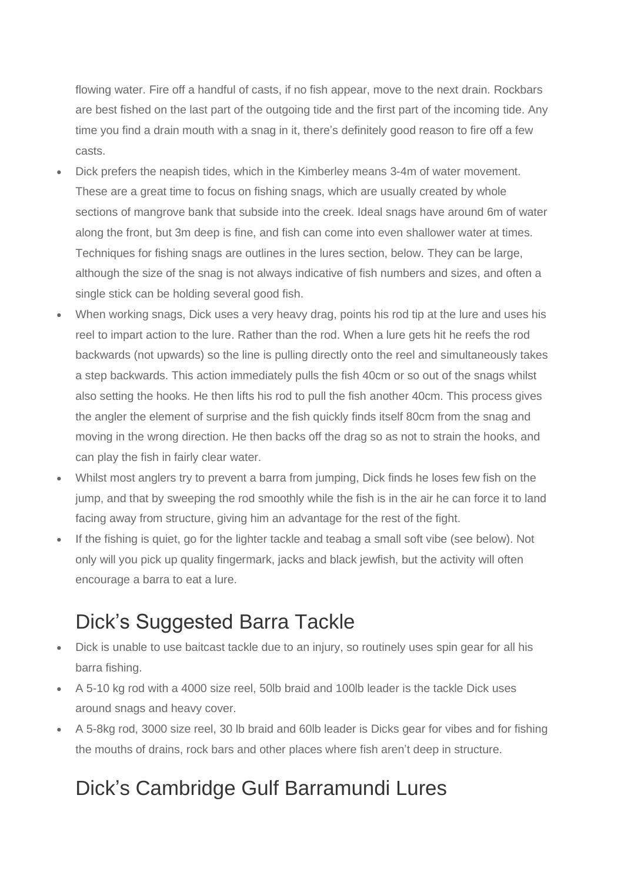flowing water. Fire off a handful of casts, if no fish appear, move to the next drain. Rockbars are best fished on the last part of the outgoing tide and the first part of the incoming tide. Any time you find a drain mouth with a snag in it, there's definitely good reason to fire off a few casts.

- Dick prefers the neapish tides, which in the Kimberley means 3-4m of water movement. These are a great time to focus on fishing snags, which are usually created by whole sections of mangrove bank that subside into the creek. Ideal snags have around 6m of water along the front, but 3m deep is fine, and fish can come into even shallower water at times. Techniques for fishing snags are outlines in the lures section, below. They can be large, although the size of the snag is not always indicative of fish numbers and sizes, and often a single stick can be holding several good fish.
- When working snags, Dick uses a very heavy drag, points his rod tip at the lure and uses his reel to impart action to the lure. Rather than the rod. When a lure gets hit he reefs the rod backwards (not upwards) so the line is pulling directly onto the reel and simultaneously takes a step backwards. This action immediately pulls the fish 40cm or so out of the snags whilst also setting the hooks. He then lifts his rod to pull the fish another 40cm. This process gives the angler the element of surprise and the fish quickly finds itself 80cm from the snag and moving in the wrong direction. He then backs off the drag so as not to strain the hooks, and can play the fish in fairly clear water.
- Whilst most anglers try to prevent a barra from jumping, Dick finds he loses few fish on the jump, and that by sweeping the rod smoothly while the fish is in the air he can force it to land facing away from structure, giving him an advantage for the rest of the fight.
- If the fishing is quiet, go for the lighter tackle and teabag a small soft vibe (see below). Not only will you pick up quality fingermark, jacks and black jewfish, but the activity will often encourage a barra to eat a lure.

## Dick's Suggested Barra Tackle

- Dick is unable to use baitcast tackle due to an injury, so routinely uses spin gear for all his barra fishing.
- A 5-10 kg rod with a 4000 size reel, 50lb braid and 100lb leader is the tackle Dick uses around snags and heavy cover.
- A 5-8kg rod, 3000 size reel, 30 lb braid and 60lb leader is Dicks gear for vibes and for fishing the mouths of drains, rock bars and other places where fish aren't deep in structure.

### Dick's Cambridge Gulf Barramundi Lures